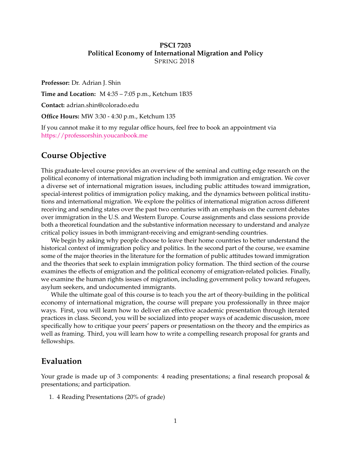#### **PSCI 7203 Political Economy of International Migration and Policy** SPRING 2018

**Professor:** Dr. Adrian J. Shin

**Time and Location:** M 4:35 – 7:05 p.m., Ketchum 1B35

**Contact:** adrian.shin@colorado.edu

**Office Hours:** MW 3:30 - 4:30 p.m., Ketchum 135

If you cannot make it to my regular office hours, feel free to book an appointment via <https://professorshin.youcanbook.me>

## **Course Objective**

This graduate-level course provides an overview of the seminal and cutting edge research on the political economy of international migration including both immigration and emigration. We cover a diverse set of international migration issues, including public attitudes toward immigration, special-interest politics of immigration policy making, and the dynamics between political institutions and international migration. We explore the politics of international migration across different receiving and sending states over the past two centuries with an emphasis on the current debates over immigration in the U.S. and Western Europe. Course assignments and class sessions provide both a theoretical foundation and the substantive information necessary to understand and analyze critical policy issues in both immigrant-receiving and emigrant-sending countries.

We begin by asking why people choose to leave their home countries to better understand the historical context of immigration policy and politics. In the second part of the course, we examine some of the major theories in the literature for the formation of public attitudes toward immigration and the theories that seek to explain immigration policy formation. The third section of the course examines the effects of emigration and the political economy of emigration-related policies. Finally, we examine the human rights issues of migration, including government policy toward refugees, asylum seekers, and undocumented immigrants.

While the ultimate goal of this course is to teach you the art of theory-building in the political economy of international migration, the course will prepare you professionally in three major ways. First, you will learn how to deliver an effective academic presentation through iterated practices in class. Second, you will be socialized into proper ways of academic discussion, more specifically how to critique your peers' papers or presentatiosn on the theory and the empirics as well as framing. Third, you will learn how to write a compelling research proposal for grants and fellowships.

#### **Evaluation**

Your grade is made up of 3 components: 4 reading presentations; a final research proposal & presentations; and participation.

1. 4 Reading Presentations (20% of grade)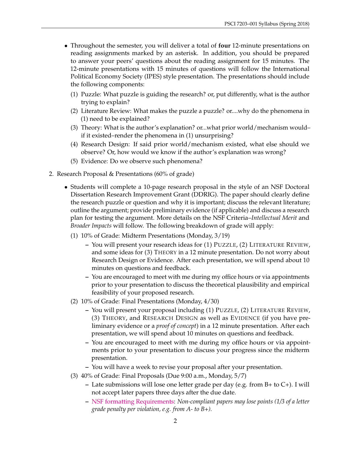- Throughout the semester, you will deliver a total of **four** 12-minute presentations on reading assignments marked by an asterisk. In addition, you should be prepared to answer your peers' questions about the reading assignment for 15 minutes. The 12-minute presentations with 15 minutes of questions will follow the International Political Economy Society (IPES) style presentation. The presentations should include the following components:
	- (1) Puzzle: What puzzle is guiding the research? or, put differently, what is the author trying to explain?
	- (2) Literature Review: What makes the puzzle a puzzle? or....why do the phenomena in (1) need to be explained?
	- (3) Theory: What is the author's explanation? or...what prior world/mechanism would– if it existed–render the phenomena in (1) unsurprising?
	- (4) Research Design: If said prior world/mechanism existed, what else should we observe? Or, how would we know if the author's explanation was wrong?
	- (5) Evidence: Do we observe such phenomena?
- 2. Research Proposal & Presentations (60% of grade)
	- Students will complete a 10-page research proposal in the style of an NSF Doctoral Dissertation Research Improvement Grant (DDRIG). The paper should clearly define the research puzzle or question and why it is important; discuss the relevant literature; outline the argument; provide preliminary evidence (if applicable) and discuss a research plan for testing the argument. More details on the NSF Criteria–*Intellectual Merit* and *Broader Impacts* will follow. The following breakdown of grade will apply:
		- (1) 10% of Grade: Midterm Presentations (Monday, 3/19)
			- **–** You will present your research ideas for (1) PUZZLE, (2) LITERATURE REVIEW, and some ideas for (3) THEORY in a 12 minute presentation. Do not worry about Research Design or Evidence. After each presentation, we will spend about 10 minutes on questions and feedback.
			- **–** You are encouraged to meet with me during my office hours or via appointments prior to your presentation to discuss the theoretical plausibility and empirical feasibility of your proposed research.
		- (2) 10% of Grade: Final Presentations (Monday, 4/30)
			- **–** You will present your proposal including (1) PUZZLE, (2) LITERATURE REVIEW, (3) THEORY, and RESEARCH DESIGN as well as EVIDENCE (if you have preliminary evidence or a *proof of concept*) in a 12 minute presentation. After each presentation, we will spend about 10 minutes on questions and feedback.
			- **–** You are encouraged to meet with me during my office hours or via appointments prior to your presentation to discuss your progress since the midterm presentation.
			- **–** You will have a week to revise your proposal after your presentation.
		- (3) 40% of Grade: Final Proposals (Due 9:00 a.m., Monday, 5/7)
			- **–** Late submissions will lose one letter grade per day (e.g. from B+ to C+). I will not accept later papers three days after the due date.
			- **–** [NSF formatting Requirements:](https://www.nsf.gov/publications/pub_summ.jsp?ods_key=gpg) *Non-compliant papers may lose points (1/3 of a letter grade penalty per violation, e.g. from A- to B+).*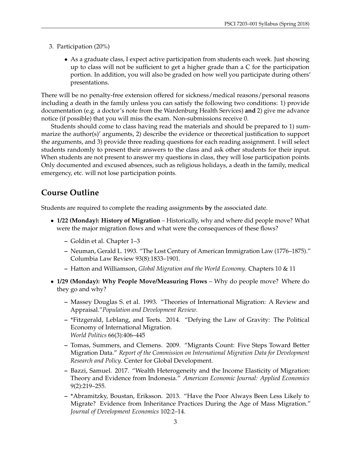- 3. Participation (20%)
	- As a graduate class, I expect active participation from students each week. Just showing up to class will not be sufficient to get a higher grade than a C for the participation portion. In addition, you will also be graded on how well you participate during others' presentations.

There will be no penalty-free extension offered for sickness/medical reasons/personal reasons including a death in the family unless you can satisfy the following two conditions: 1) provide documentation (e.g. a doctor's note from the Wardenburg Health Services) **and** 2) give me advance notice (if possible) that you will miss the exam. Non-submissions receive 0.

Students should come to class having read the materials and should be prepared to 1) summarize the author(s)' arguments, 2) describe the evidence or theoretical justification to support the arguments, and 3) provide three reading questions for each reading assignment. I will select students randomly to present their answers to the class and ask other students for their input. When students are not present to answer my questions in class, they will lose participation points. Only documented and excused absences, such as religious holidays, a death in the family, medical emergency, etc. will not lose participation points.

# **Course Outline**

Students are required to complete the reading assignments **by** the associated date.

- **1/22 (Monday): History of Migration** Historically, why and where did people move? What were the major migration flows and what were the consequences of these flows?
	- **–** Goldin et al. Chapter 1–3
	- **–** Neuman, Gerald L. 1993. "The Lost Century of American Immigration Law (1776–1875)." Columbia Law Review 93(8):1833–1901.
	- **–** Hatton and Williamson, *Global Migration and the World Economy*. Chapters 10 & 11
- **1/29 (Monday): Why People Move/Measuring Flows** Why do people move? Where do they go and why?
	- **–** Massey Douglas S. et al. 1993. "Theories of International Migration: A Review and Appraisal."*Population and Development Review*.
	- **–** \*Fitzgerald, Leblang, and Teets. 2014. "Defying the Law of Gravity: The Political Economy of International Migration. *World Politics* 66(3):406–445
	- **–** Tomas, Summers, and Clemens. 2009. "Migrants Count: Five Steps Toward Better Migration Data." *Report of the Commission on International Migration Data for Development Research and Policy.* Center for Global Development.
	- **–** Bazzi, Samuel. 2017. "Wealth Heterogeneity and the Income Elasticity of Migration: Theory and Evidence from Indonesia." *American Economic Journal: Applied Economics* 9(2):219–255.
	- **–** \*Abramitzky, Boustan, Eriksson. 2013. "Have the Poor Always Been Less Likely to Migrate? Evidence from Inheritance Practices During the Age of Mass Migration." *Journal of Development Economics* 102:2–14.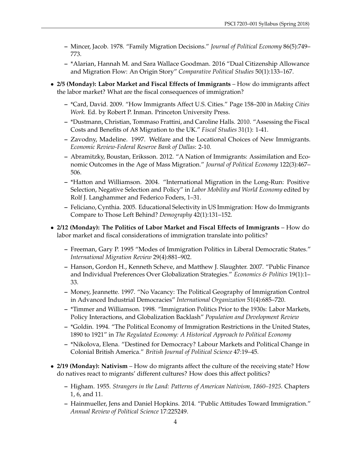- **–** Mincer, Jacob. 1978. "Family Migration Decisions." *Journal of Political Economy* 86(5):749– 773.
- **–** \*Alarian, Hannah M. and Sara Wallace Goodman. 2016 "Dual Citizenship Allowance and Migration Flow: An Origin Story" *Comparative Political Studies* 50(1):133–167.
- **2/5 (Monday): Labor Market and Fiscal Effects of Immigrants** How do immigrants affect the labor market? What are the fiscal consequences of immigration?
	- **–** \*Card, David. 2009. "How Immigrants Affect U.S. Cities." Page 158–200 in *Making Cities Work.* Ed. by Robert P. Inman. Princeton University Press.
	- **–** \*Dustmann, Christian, Tommaso Frattini, and Caroline Halls. 2010. "Assessing the Fiscal Costs and Benefits of A8 Migration to the UK." *Fiscal Studies* 31(1): 1-41.
	- **–** Zavodny, Madeline. 1997. Welfare and the Locational Choices of New Immigrants. *Economic Review-Federal Reserve Bank of Dallas*: 2-10.
	- **–** Abramitzky, Boustan, Eriksson. 2012. "A Nation of Immigrants: Assimilation and Economic Outcomes in the Age of Mass Migration." *Journal of Political Economy* 122(3):467– 506.
	- **–** \*Hatton and Williamson. 2004. "International Migration in the Long-Run: Positive Selection, Negative Selection and Policy" in *Labor Mobility and World Economy* edited by Rolf J. Langhammer and Federico Foders, 1–31.
	- **–** Feliciano, Cynthia. 2005. Educational Selectivity in US Immigration: How do Immigrants Compare to Those Left Behind? *Demography* 42(1):131–152.
- **2/12 (Monday): The Politics of Labor Market and Fiscal Effects of Immigrants** How do labor market and fiscal considerations of immigration translate into politics?
	- **–** Freeman, Gary P. 1995 "Modes of Immigration Politics in Liberal Democratic States." *International Migration Review* 29(4):881–902.
	- **–** Hanson, Gordon H., Kenneth Scheve, and Matthew J. Slaughter. 2007. "Public Finance and Individual Preferences Over Globalization Strategies." *Economics & Politics* 19(1):1– 33.
	- **–** Money, Jeannette. 1997. "No Vacancy: The Political Geography of Immigration Control in Advanced Industrial Democracies" *International Organization* 51(4):685–720.
	- **–** \*Timmer and Williamson. 1998. "Immigration Politics Prior to the 1930s: Labor Markets, Policy Interactions, and Globalization Backlash" *Population and Development Review*
	- **–** \*Goldin. 1994. "The Political Economy of Immigration Restrictions in the United States, 1890 to 1921" in *The Regulated Economy: A Historical Approach to Political Economy*
	- **–** \*Nikolova, Elena. "Destined for Democracy? Labour Markets and Political Change in Colonial British America." *British Journal of Political Science* 47:19–45.
- **2/19 (Monday): Nativism** How do migrants affect the culture of the receiving state? How do natives react to migrants' different cultures? How does this affect politics?
	- **–** Higham. 1955. *Strangers in the Land: Patterns of American Nativism, 1860–1925*. Chapters 1, 6, and 11.
	- **–** Hainmueller, Jens and Daniel Hopkins. 2014. "Public Attitudes Toward Immigration." *Annual Review of Political Science* 17:225249.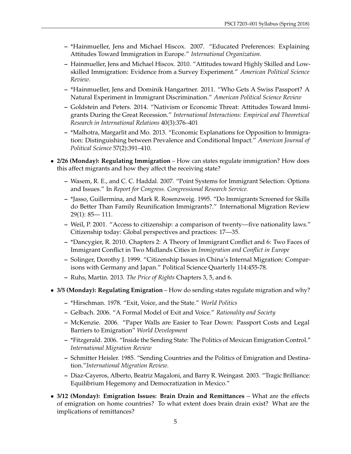- **–** \*Hainmueller, Jens and Michael Hiscox. 2007. "Educated Preferences: Explaining Attitudes Toward Immigration in Europe." *International Organization*.
- **–** Hainmueller, Jens and Michael Hiscox. 2010. "Attitudes toward Highly Skilled and Lowskilled Immigration: Evidence from a Survey Experiment." *American Political Science Review*.
- **–** \*Hainmueller, Jens and Dominik Hangartner. 2011. "Who Gets A Swiss Passport? A Natural Experiment in Immigrant Discrimination." *American Political Science Review*
- **–** Goldstein and Peters. 2014. "Nativism or Economic Threat: Attitudes Toward Immigrants During the Great Recession." *International Interactions: Empirical and Theoretical Research in International Relations* 40(3):376–401
- **–** \*Malhotra, Margarlit and Mo. 2013. "Economic Explanations for Opposition to Immigration: Distinguishing between Prevalence and Conditional Impact." *American Journal of Political Science* 57(2):391–410.
- **2/26 (Monday): Regulating Immigration** How can states regulate immigration? How does this affect migrants and how they affect the receiving state?
	- **–** Wasem, R. E., and C. C. Haddal. 2007. "Point Systems for Immigrant Selection: Options and Issues." In *Report for Congress. Congressional Research Service.*
	- **–** \*Jasso, Guillermina, and Mark R. Rosenzweig. 1995. "Do Immigrants Screened for Skills do Better Than Family Reunification Immigrants?." International Migration Review 29(1): 85— 111.
	- **–** Weil, P. 2001. "Access to citizenship: a comparison of twenty—five nationality laws." Citizenship today: Global perspectives and practices: 17—35.
	- **–** \*Dancygier, R. 2010. Chapters 2: A Theory of Immigrant Conflict and 6: Two Faces of Immigrant Conflict in Two Midlands Cities in *Immigration and Conflict in Europe*
	- **–** Solinger, Dorothy J. 1999. "Citizenship Issues in China's Internal Migration: Comparisons with Germany and Japan." Political Science Quarterly 114:455-78.
	- **–** Ruhs, Martin. 2013. *The Price of Rights* Chapters 3, 5, and 6.
- **3/5 (Monday): Regulating Emigration** How do sending states regulate migration and why?
	- **–** \*Hirschman. 1978. "Exit, Voice, and the State." *World Politics*
	- **–** Gelbach. 2006. "A Formal Model of Exit and Voice." *Rationality and Society*
	- **–** McKenzie. 2006. "Paper Walls are Easier to Tear Down: Passport Costs and Legal Barriers to Emigration" *World Development*
	- **–** \*Fitzgerald. 2006. "Inside the Sending State: The Politics of Mexican Emigration Control." *International Migration Review*
	- **–** Schmitter Heisler. 1985. "Sending Countries and the Politics of Emigration and Destination."*International Migration Review*.
	- **–** Diaz-Cayeros, Alberto, Beatriz Magaloni, and Barry R. Weingast. 2003. "Tragic Brilliance: Equilibrium Hegemony and Democratization in Mexico."
- **3/12 (Monday): Emigration Issues: Brain Drain and Remittances** What are the effects of emigration on home countries? To what extent does brain drain exist? What are the implications of remittances?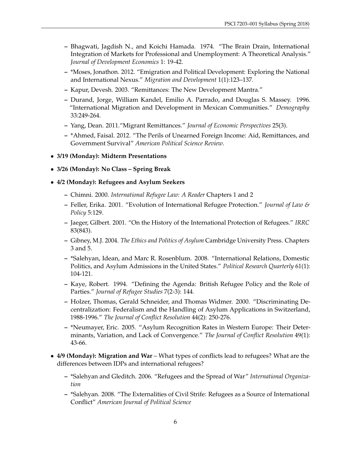- **–** Bhagwati, Jagdish N., and Koichi Hamada. 1974. "The Brain Drain, International Integration of Markets for Professional and Unemployment: A Theoretical Analysis." *Journal of Development Economics* 1: 19-42.
- **–** \*Moses, Jonathon. 2012. "Emigration and Political Development: Exploring the National and International Nexus." *Migration and Development* 1(1):123–137.
- **–** Kapur, Devesh. 2003. "Remittances: The New Development Mantra."
- **–** Durand, Jorge, William Kandel, Emilio A. Parrado, and Douglas S. Massey. 1996. "International Migration and Development in Mexican Communities." *Demography* 33:249-264.
- **–** Yang, Dean. 2011."Migrant Remittances." *Journal of Economic Perspectives* 25(3).
- **–** \*Ahmed, Faisal. 2012. "The Perils of Unearned Foreign Income: Aid, Remittances, and Government Survival" *American Political Science Review*.
- **3/19 (Monday): Midterm Presentations**
- **3/26 (Monday): No Class Spring Break**
- **4/2 (Monday): Refugees and Asylum Seekers**
	- **–** Chimni. 2000. *International Refugee Law: A Reader* Chapters 1 and 2
	- **–** Feller, Erika. 2001. "Evolution of International Refugee Protection." *Journal of Law & Policy* 5:129.
	- **–** Jaeger, Gilbert. 2001. "On the History of the International Protection of Refugees." *IRRC* 83(843).
	- **–** Gibney, M.J. 2004. *The Ethics and Politics of Asylum* Cambridge University Press. Chapters 3 and 5.
	- **–** \*Salehyan, Idean, and Marc R. Rosenblum. 2008. "International Relations, Domestic Politics, and Asylum Admissions in the United States." *Political Research Quarterly* 61(1): 104-121.
	- **–** Kaye, Robert. 1994. "Defining the Agenda: British Refugee Policy and the Role of Parties." *Journal of Refugee Studies* 7(2-3): 144.
	- **–** Holzer, Thomas, Gerald Schneider, and Thomas Widmer. 2000. "Discriminating Decentralization: Federalism and the Handling of Asylum Applications in Switzerland, 1988-1996." *The Journal of Conflict Resolution* 44(2): 250-276.
	- **–** \*Neumayer, Eric. 2005. "Asylum Recognition Rates in Western Europe: Their Determinants, Variation, and Lack of Convergence." *The Journal of Conflict Resolution* 49(1): 43-66.
- **4/9 (Monday): Migration and War** What types of conflicts lead to refugees? What are the differences between IDPs and international refugees?
	- **–** \*Salehyan and Gleditch. 2006. "Refugees and the Spread of War" *International Organization*
	- **–** \*Salehyan. 2008. "The Externalities of Civil Strife: Refugees as a Source of International Conflict" *American Journal of Political Science*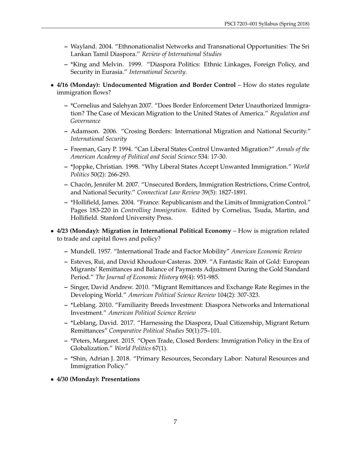- **–** Wayland. 2004. "Ethnonationalist Networks and Transnational Opportunities: The Sri Lankan Tamil Diaspora." *Review of International Studies*
- **–** \*King and Melvin. 1999. "Diaspora Politics: Ethnic Linkages, Foreign Policy, and Security in Eurasia." *International Security*.
- **4/16 (Monday): Undocumented Migration and Border Control** How do states regulate immigration flows?
	- **–** \*Cornelius and Salehyan 2007. "Does Border Enforcement Deter Unauthorized Immigration? The Case of Mexican Migration to the United States of America." *Regulation and Governance*
	- **–** Adamson. 2006. "Crosing Borders: International Migration and National Security." *International Security*
	- **–** Freeman, Gary P. 1994. "Can Liberal States Control Unwanted Migration?" *Annals of the American Academy of Political and Social Science* 534: 17-30.
	- **–** \*Joppke, Christian. 1998. "Why Liberal States Accept Unwanted Immigration." *World Politics* 50(2): 266-293.
	- **–** Chacon, Jennifer M. 2007. "Unsecured Borders, Immigration Restrictions, Crime Control, ´ and National Security." *Connecticut Law Review* 39(5): 1827-1891.
	- **–** \*Hollifield, James. 2004. "France: Republicanism and the Limits of Immigration Control." Pages 183-220 in *Controlling Immigration*. Edited by Cornelius, Tsuda, Martin, and Hollifield. Stanford University Press.
- **4/23 (Monday): Migration in International Political Economy** How is migration related to trade and capital flows and policy?
	- **–** Mundell. 1957. "International Trade and Factor Mobility" *American Economic Review*
	- **–** Esteves, Rui, and David Khoudour-Casteras. 2009. "A Fantastic Rain of Gold: European Migrants' Remittances and Balance of Payments Adjustment During the Gold Standard Period." *The Journal of Economic History* 69(4): 951-985.
	- **–** Singer, David Andrew. 2010. "Migrant Remittances and Exchange Rate Regimes in the Developing World." *American Political Science Review* 104(2): 307-323.
	- **–** \*Leblang. 2010. "Familiarity Breeds Investment: Diaspora Networks and International Investment." *American Political Science Review*
	- **–** \*Leblang, David. 2017. "Harnessing the Diaspora, Dual Citizenship, Migrant Return Remittances" *Comparative Political Studies* 50(1):75–101.
	- **–** \*Peters, Margaret. 2015. "Open Trade, Closed Borders: Immigration Policy in the Era of Globalization." *World Politics* 67(1).
	- **–** \*Shin, Adrian J. 2018. "Primary Resources, Secondary Labor: Natural Resources and Immigration Policy."
- **4/30 (Monday): Presentations**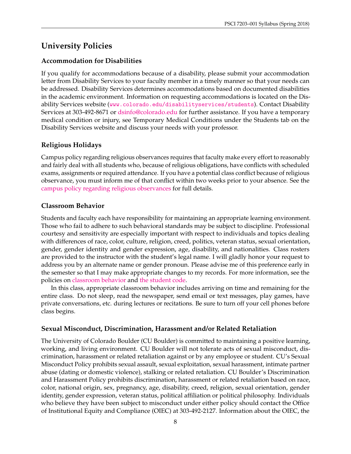# **University Policies**

### **Accommodation for Disabilities**

If you qualify for accommodations because of a disability, please submit your accommodation letter from Disability Services to your faculty member in a timely manner so that your needs can be addressed. Disability Services determines accommodations based on documented disabilities in the academic environment. Information on requesting accommodations is located on the Disability Services website (<www.colorado.edu/disabilityservices/students>). Contact Disability Services at 303-492-8671 or [dsinfo@colorado.edu](mailto:dsinfo@colorado.edu) for further assistance. If you have a temporary medical condition or injury, see Temporary Medical Conditions under the Students tab on the Disability Services website and discuss your needs with your professor.

### **Religious Holidays**

Campus policy regarding religious observances requires that faculty make every effort to reasonably and fairly deal with all students who, because of religious obligations, have conflicts with scheduled exams, assignments or required attendance. If you have a potential class conflict because of religious observance, you must inform me of that conflict within two weeks prior to your absence. See the [campus policy regarding religious observances](http://click.communications.cu.edu/?qs=8a3fa2d73fbd2ab415572361b0e76152f827883bb3fb1ecbf8c8c749c9f7bfef57485559eb92f66f) for full details.

### **Classroom Behavior**

Students and faculty each have responsibility for maintaining an appropriate learning environment. Those who fail to adhere to such behavioral standards may be subject to discipline. Professional courtesy and sensitivity are especially important with respect to individuals and topics dealing with differences of race, color, culture, religion, creed, politics, veteran status, sexual orientation, gender, gender identity and gender expression, age, disability, and nationalities. Class rosters are provided to the instructor with the student's legal name. I will gladly honor your request to address you by an alternate name or gender pronoun. Please advise me of this preference early in the semester so that I may make appropriate changes to my records. For more information, see the policies on [classroom behavior](http://click.communications.cu.edu/?qs=8a3fa2d73fbd2ab4120dcfa37ddd91a43b23ff9b81f39c107c9f59959666889171952d7b9c136e3f) and [the student code.](http://click.communications.cu.edu/?qs=8a3fa2d73fbd2ab4b5e2bd3a18ee3f41f765cec789767c9a484f43f789da0df2baa792d9b312751f)

In this class, appropriate classroom behavior includes arriving on time and remaining for the entire class. Do not sleep, read the newspaper, send email or text messages, play games, have private conversations, etc. during lectures or recitations. Be sure to turn off your cell phones before class begins.

### **Sexual Misconduct, Discrimination, Harassment and/or Related Retaliation**

The University of Colorado Boulder (CU Boulder) is committed to maintaining a positive learning, working, and living environment. CU Boulder will not tolerate acts of sexual misconduct, discrimination, harassment or related retaliation against or by any employee or student. CU's Sexual Misconduct Policy prohibits sexual assault, sexual exploitation, sexual harassment, intimate partner abuse (dating or domestic violence), stalking or related retaliation. CU Boulder's Discrimination and Harassment Policy prohibits discrimination, harassment or related retaliation based on race, color, national origin, sex, pregnancy, age, disability, creed, religion, sexual orientation, gender identity, gender expression, veteran status, political affiliation or political philosophy. Individuals who believe they have been subject to misconduct under either policy should contact the Office of Institutional Equity and Compliance (OIEC) at 303-492-2127. Information about the OIEC, the